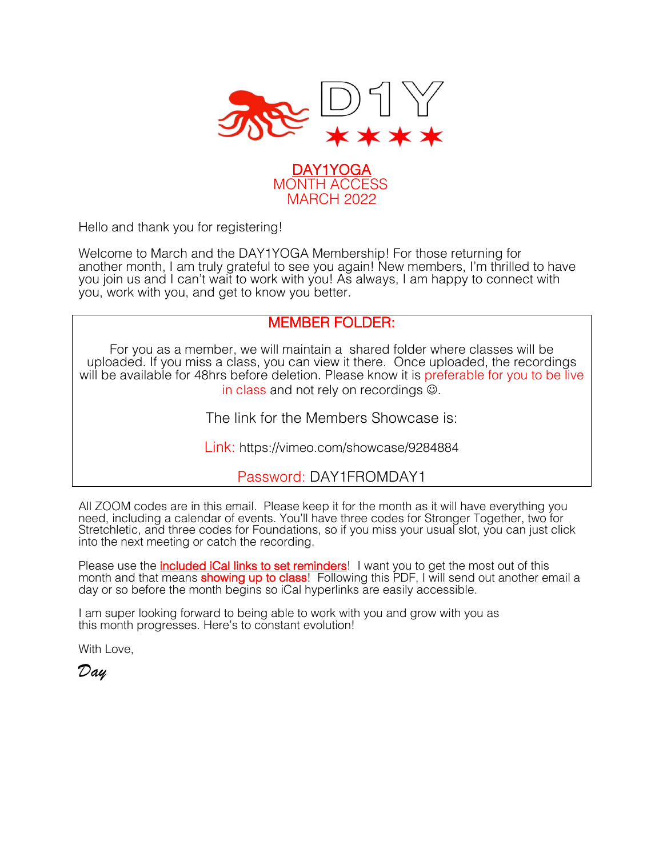



Hello and thank you for registering!

Welcome to March and the DAY1YOGA Membership! For those returning for another month, I am truly grateful to see you again! New members, I'm thrilled to have you join us and I can't wait to work with you! As always, I am happy to connect with you, work with you, and get to know you better.

# MEMBER FOLDER:

For you as a member, we will maintain a shared folder where classes will be uploaded. If you miss a class, you can view it there. Once uploaded, the recordings will be available for 48hrs before deletion. Please know it is preferable for you to be live in class and not rely on recordings  $\odot$ .

The link for the Members Showcase is:

Link: https://vimeo.com/showcase/9284884

# Password: DAY1FROMDAY1

All ZOOM codes are in this email. Please keep it for the month as it will have everything you need, including a calendar of events. You'll have three codes for Stronger Together, two for Stretchletic, and three codes for Foundations, so if you miss your usual slot, you can just click into the next meeting or catch the recording.

Please use the *included iCal links to set reminders*! I want you to get the most out of this month and that means **showing up to class**! Following this PDF, I will send out another email a day or so before the month begins so iCal hyperlinks are easily accessible.

I am super looking forward to being able to work with you and grow with you as this month progresses. Here's to constant evolution!

With Love,

*Day*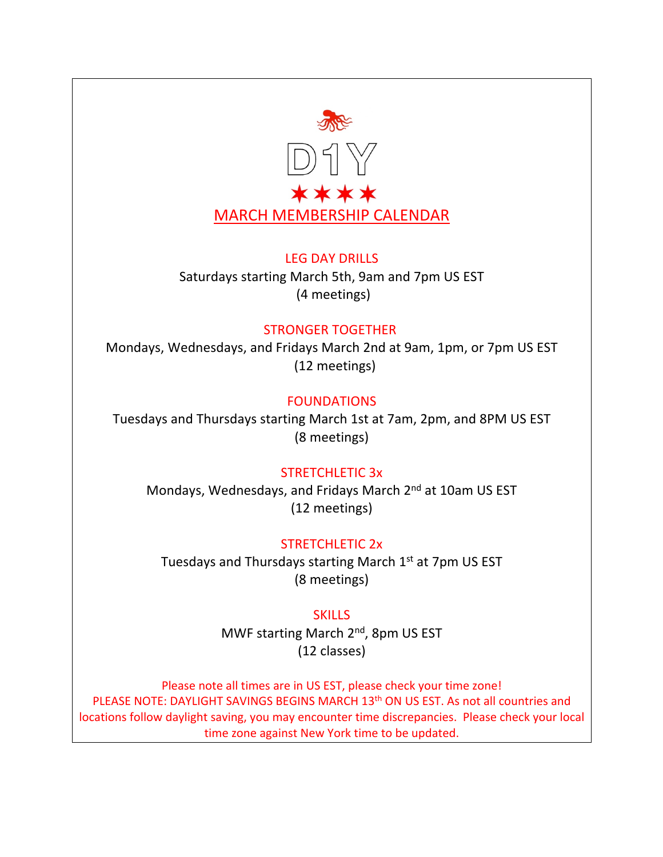

#### LEG DAY DRILLS

Saturdays starting March 5th, 9am and 7pm US EST (4 meetings)

#### STRONGER TOGETHER

Mondays, Wednesdays, and Fridays March 2nd at 9am, 1pm, or 7pm US EST (12 meetings)

# FOUNDATIONS

Tuesdays and Thursdays starting March 1st at 7am, 2pm, and 8PM US EST (8 meetings)

# STRETCHLETIC 3x

Mondays, Wednesdays, and Fridays March 2nd at 10am US EST (12 meetings)

# STRETCHLETIC 2x

Tuesdays and Thursdays starting March 1st at 7pm US EST (8 meetings)

# **SKILLS**

MWF starting March 2<sup>nd</sup>, 8pm US EST (12 classes)

Please note all times are in US EST, please check your time zone! PLEASE NOTE: DAYLIGHT SAVINGS BEGINS MARCH 13<sup>th</sup> ON US EST. As not all countries and locations follow daylight saving, you may encounter time discrepancies. Please check your local time zone against New York time to be updated.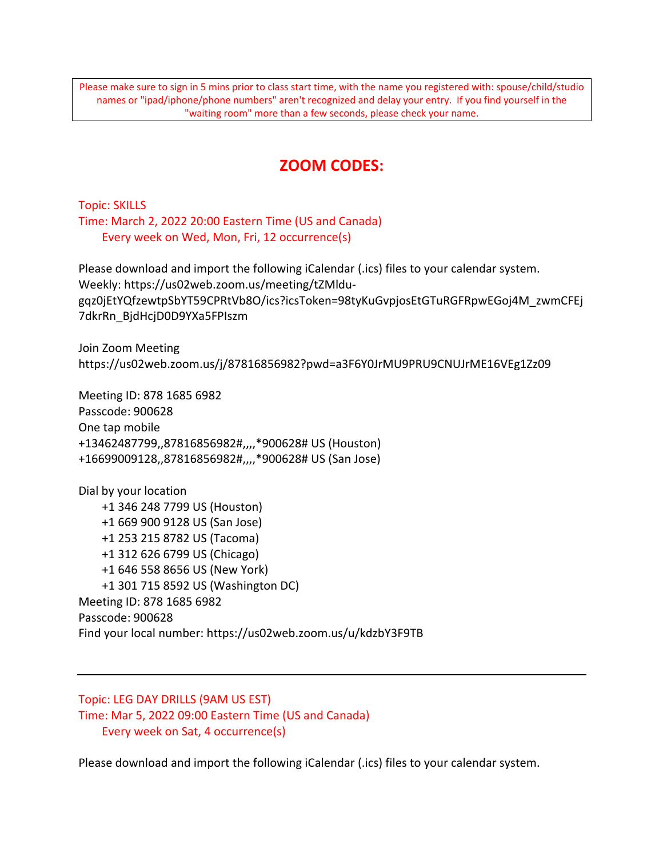Please make sure to sign in 5 mins prior to class start time, with the name you registered with: spouse/child/studio names or "ipad/iphone/phone numbers" aren't recognized and delay your entry. If you find yourself in the "waiting room" more than a few seconds, please check your name.

# **ZOOM CODES:**

Topic: SKILLS Time: March 2, 2022 20:00 Eastern Time (US and Canada) Every week on Wed, Mon, Fri, 12 occurrence(s)

Please download and import the following iCalendar (.ics) files to your calendar system. Weekly: https://us02web.zoom.us/meeting/tZMldugqz0jEtYQfzewtpSbYT59CPRtVb8O/ics?icsToken=98tyKuGvpjosEtGTuRGFRpwEGoj4M\_zwmCFEj 7dkrRn\_BjdHcjD0D9YXa5FPIszm

Join Zoom Meeting https://us02web.zoom.us/j/87816856982?pwd=a3F6Y0JrMU9PRU9CNUJrME16VEg1Zz09

Meeting ID: 878 1685 6982 Passcode: 900628 One tap mobile +13462487799,,87816856982#,,,,\*900628# US (Houston) +16699009128,,87816856982#,,,,\*900628# US (San Jose)

Dial by your location +1 346 248 7799 US (Houston) +1 669 900 9128 US (San Jose) +1 253 215 8782 US (Tacoma) +1 312 626 6799 US (Chicago) +1 646 558 8656 US (New York) +1 301 715 8592 US (Washington DC) Meeting ID: 878 1685 6982 Passcode: 900628 Find your local number: https://us02web.zoom.us/u/kdzbY3F9TB

Topic: LEG DAY DRILLS (9AM US EST) Time: Mar 5, 2022 09:00 Eastern Time (US and Canada) Every week on Sat, 4 occurrence(s)

Please download and import the following iCalendar (.ics) files to your calendar system.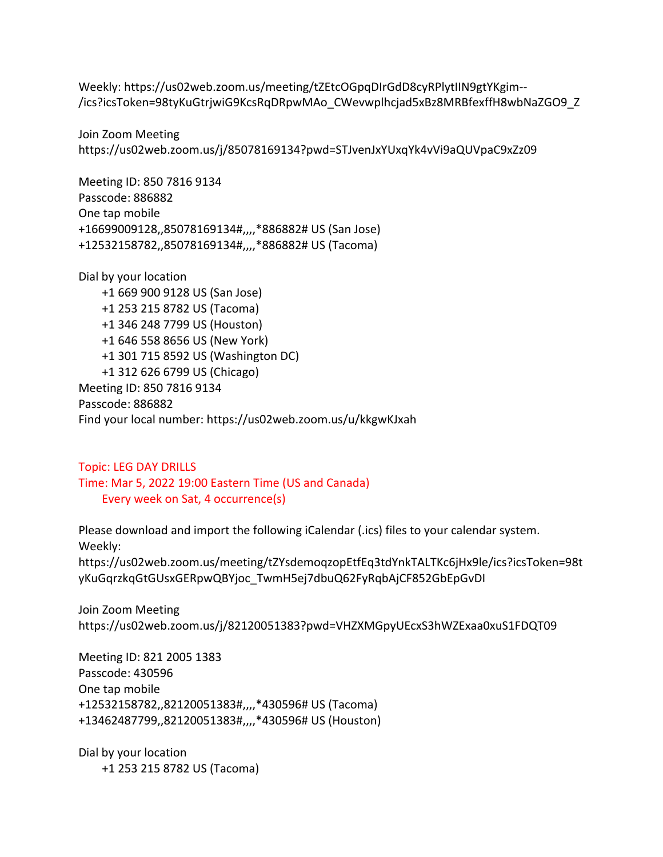Weekly: https://us02web.zoom.us/meeting/tZEtcOGpqDIrGdD8cyRPlytIIN9gtYKgim-- /ics?icsToken=98tyKuGtrjwiG9KcsRqDRpwMAo\_CWevwplhcjad5xBz8MRBfexffH8wbNaZGO9\_Z

Join Zoom Meeting https://us02web.zoom.us/j/85078169134?pwd=STJvenJxYUxqYk4vVi9aQUVpaC9xZz09

Meeting ID: 850 7816 9134 Passcode: 886882 One tap mobile +16699009128,,85078169134#,,,,\*886882# US (San Jose) +12532158782,,85078169134#,,,,\*886882# US (Tacoma)

Dial by your location +1 669 900 9128 US (San Jose) +1 253 215 8782 US (Tacoma) +1 346 248 7799 US (Houston) +1 646 558 8656 US (New York) +1 301 715 8592 US (Washington DC) +1 312 626 6799 US (Chicago) Meeting ID: 850 7816 9134 Passcode: 886882 Find your local number: https://us02web.zoom.us/u/kkgwKJxah

Topic: LEG DAY DRILLS Time: Mar 5, 2022 19:00 Eastern Time (US and Canada) Every week on Sat, 4 occurrence(s)

Please download and import the following iCalendar (.ics) files to your calendar system. Weekly:

https://us02web.zoom.us/meeting/tZYsdemoqzopEtfEq3tdYnkTALTKc6jHx9le/ics?icsToken=98t yKuGqrzkqGtGUsxGERpwQBYjoc\_TwmH5ej7dbuQ62FyRqbAjCF852GbEpGvDI

Join Zoom Meeting https://us02web.zoom.us/j/82120051383?pwd=VHZXMGpyUEcxS3hWZExaa0xuS1FDQT09

Meeting ID: 821 2005 1383 Passcode: 430596 One tap mobile +12532158782,,82120051383#,,,,\*430596# US (Tacoma) +13462487799,,82120051383#,,,,\*430596# US (Houston)

Dial by your location +1 253 215 8782 US (Tacoma)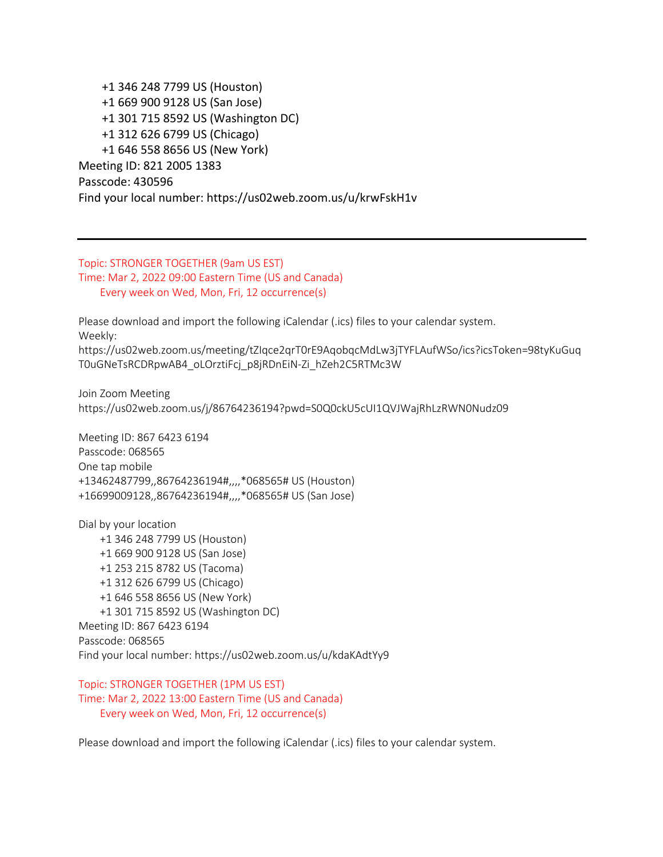+1 346 248 7799 US (Houston) +1 669 900 9128 US (San Jose) +1 301 715 8592 US (Washington DC) +1 312 626 6799 US (Chicago) +1 646 558 8656 US (New York) Meeting ID: 821 2005 1383 Passcode: 430596 Find your local number: https://us02web.zoom.us/u/krwFskH1v

#### Topic: STRONGER TOGETHER (9am US EST) Time: Mar 2, 2022 09:00 Eastern Time (US and Canada) Every week on Wed, Mon, Fri, 12 occurrence(s)

Please download and import the following iCalendar (.ics) files to your calendar system. Weekly: https://us02web.zoom.us/meeting/tZIqce2qrT0rE9AqobqcMdLw3jTYFLAufWSo/ics?icsToken=98tyKuGuq T0uGNeTsRCDRpwAB4\_oLOrztiFcj\_p8jRDnEiN-Zi\_hZeh2C5RTMc3W

Join Zoom Meeting https://us02web.zoom.us/j/86764236194?pwd=S0Q0ckU5cUI1QVJWajRhLzRWN0Nudz09

Meeting ID: 867 6423 6194 Passcode: 068565 One tap mobile +13462487799,,86764236194#,,,,\*068565# US (Houston) +16699009128,,86764236194#,,,,\*068565# US (San Jose)

Dial by your location +1 346 248 7799 US (Houston) +1 669 900 9128 US (San Jose) +1 253 215 8782 US (Tacoma) +1 312 626 6799 US (Chicago) +1 646 558 8656 US (New York) +1 301 715 8592 US (Washington DC) Meeting ID: 867 6423 6194 Passcode: 068565 Find your local number: https://us02web.zoom.us/u/kdaKAdtYy9

Topic: STRONGER TOGETHER (1PM US EST) Time: Mar 2, 2022 13:00 Eastern Time (US and Canada) Every week on Wed, Mon, Fri, 12 occurrence(s)

Please download and import the following iCalendar (.ics) files to your calendar system.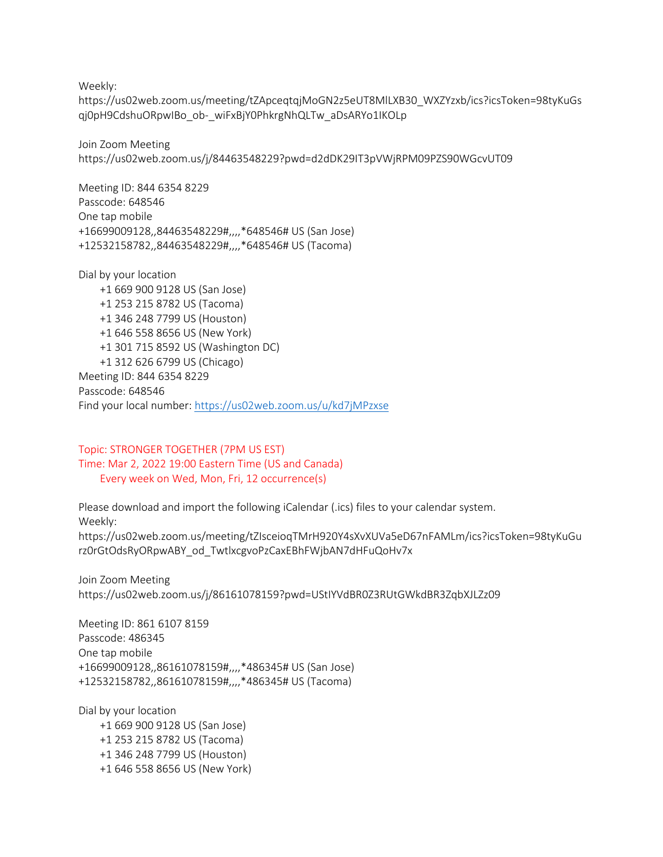Weekly:

https://us02web.zoom.us/meeting/tZApceqtqjMoGN2z5eUT8MlLXB30\_WXZYzxb/ics?icsToken=98tyKuGs qj0pH9CdshuORpwIBo\_ob-\_wiFxBjY0PhkrgNhQLTw\_aDsARYo1IKOLp

Join Zoom Meeting https://us02web.zoom.us/j/84463548229?pwd=d2dDK29IT3pVWjRPM09PZS90WGcvUT09

Meeting ID: 844 6354 8229 Passcode: 648546 One tap mobile +16699009128,,84463548229#,,,,\*648546# US (San Jose) +12532158782,,84463548229#,,,,\*648546# US (Tacoma)

Dial by your location +1 669 900 9128 US (San Jose) +1 253 215 8782 US (Tacoma) +1 346 248 7799 US (Houston) +1 646 558 8656 US (New York) +1 301 715 8592 US (Washington DC) +1 312 626 6799 US (Chicago) Meeting ID: 844 6354 8229 Passcode: 648546 Find your local number: https://us02web.zoom.us/u/kd7jMPzxse

Topic: STRONGER TOGETHER (7PM US EST) Time: Mar 2, 2022 19:00 Eastern Time (US and Canada) Every week on Wed, Mon, Fri, 12 occurrence(s)

Please download and import the following iCalendar (.ics) files to your calendar system. Weekly: https://us02web.zoom.us/meeting/tZIsceioqTMrH920Y4sXvXUVa5eD67nFAMLm/ics?icsToken=98tyKuGu rz0rGtOdsRyORpwABY\_od\_TwtlxcgvoPzCaxEBhFWjbAN7dHFuQoHv7x

Join Zoom Meeting https://us02web.zoom.us/j/86161078159?pwd=UStIYVdBR0Z3RUtGWkdBR3ZqbXJLZz09

Meeting ID: 861 6107 8159 Passcode: 486345 One tap mobile +16699009128,,86161078159#,,,,\*486345# US (San Jose) +12532158782,,86161078159#,,,,\*486345# US (Tacoma)

Dial by your location +1 669 900 9128 US (San Jose) +1 253 215 8782 US (Tacoma) +1 346 248 7799 US (Houston) +1 646 558 8656 US (New York)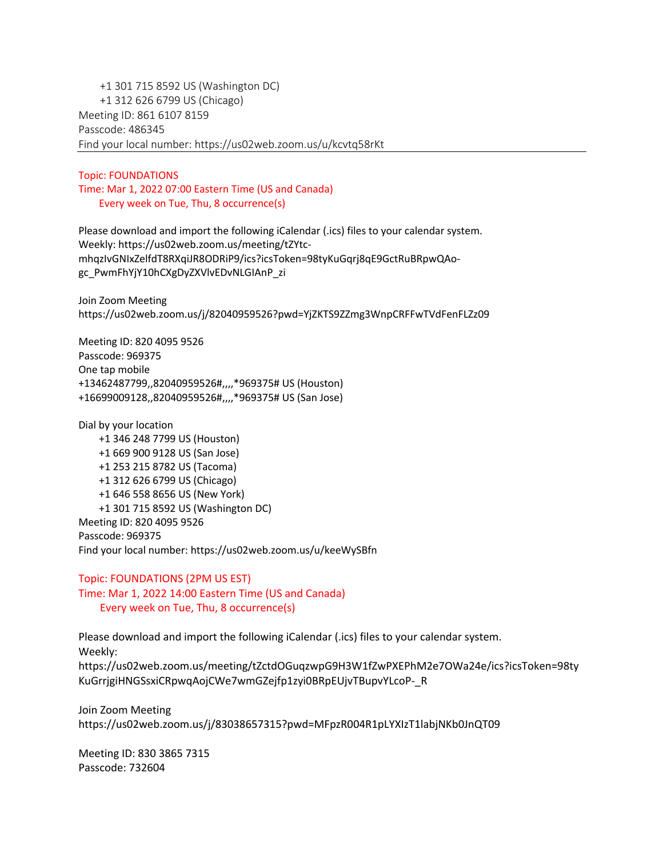+1 301 715 8592 US (Washington DC) +1 312 626 6799 US (Chicago) Meeting ID: 861 6107 8159 Passcode: 486345 Find your local number: https://us02web.zoom.us/u/kcvtq58rKt

#### Topic: FOUNDATIONS Time: Mar 1, 2022 07:00 Eastern Time (US and Canada) Every week on Tue, Thu, 8 occurrence(s)

Please download and import the following iCalendar (.ics) files to your calendar system. Weekly: https://us02web.zoom.us/meeting/tZYtcmhqzIvGNIxZelfdT8RXqiJR8ODRiP9/ics?icsToken=98tyKuGqrj8qE9GctRuBRpwQAogc\_PwmFhYjY10hCXgDyZXVlvEDvNLGIAnP\_zi

Join Zoom Meeting https://us02web.zoom.us/j/82040959526?pwd=YjZKTS9ZZmg3WnpCRFFwTVdFenFLZz09

Meeting ID: 820 4095 9526 Passcode: 969375 One tap mobile +13462487799,,82040959526#,,,,\*969375# US (Houston) +16699009128,,82040959526#,,,,\*969375# US (San Jose)

Dial by your location

 +1 346 248 7799 US (Houston) +1 669 900 9128 US (San Jose) +1 253 215 8782 US (Tacoma) +1 312 626 6799 US (Chicago) +1 646 558 8656 US (New York) +1 301 715 8592 US (Washington DC) Meeting ID: 820 4095 9526 Passcode: 969375 Find your local number: https://us02web.zoom.us/u/keeWySBfn

Topic: FOUNDATIONS (2PM US EST) Time: Mar 1, 2022 14:00 Eastern Time (US and Canada) Every week on Tue, Thu, 8 occurrence(s)

Please download and import the following iCalendar (.ics) files to your calendar system. Weekly: https://us02web.zoom.us/meeting/tZctdOGuqzwpG9H3W1fZwPXEPhM2e7OWa24e/ics?icsToken=98ty KuGrrjgiHNGSsxiCRpwqAojCWe7wmGZejfp1zyi0BRpEUjvTBupvYLcoP-\_R

Join Zoom Meeting https://us02web.zoom.us/j/83038657315?pwd=MFpzR004R1pLYXIzT1labjNKb0JnQT09

Meeting ID: 830 3865 7315 Passcode: 732604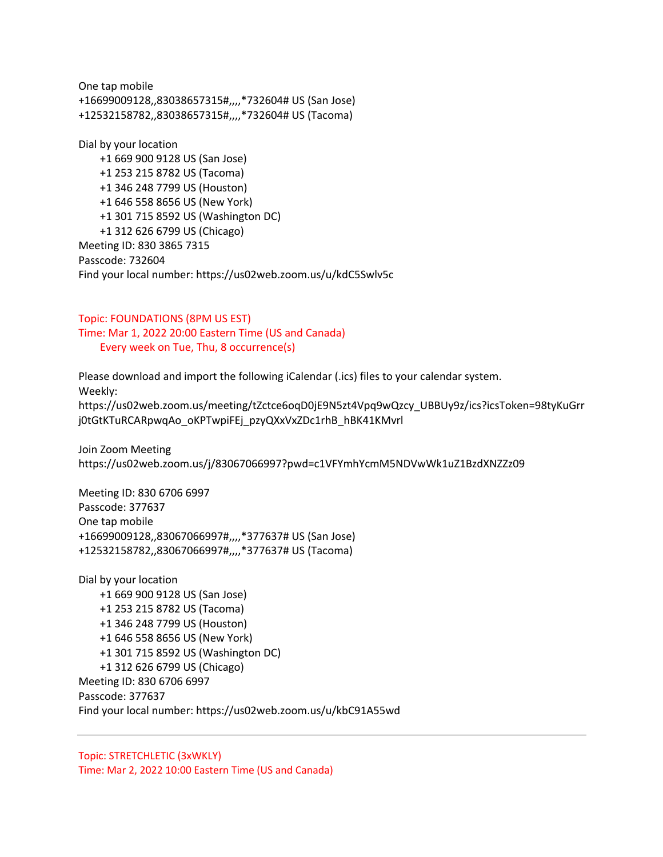One tap mobile +16699009128,,83038657315#,,,,\*732604# US (San Jose) +12532158782,,83038657315#,,,,\*732604# US (Tacoma)

Dial by your location +1 669 900 9128 US (San Jose) +1 253 215 8782 US (Tacoma) +1 346 248 7799 US (Houston) +1 646 558 8656 US (New York) +1 301 715 8592 US (Washington DC) +1 312 626 6799 US (Chicago) Meeting ID: 830 3865 7315 Passcode: 732604 Find your local number: https://us02web.zoom.us/u/kdC5Swlv5c

Topic: FOUNDATIONS (8PM US EST) Time: Mar 1, 2022 20:00 Eastern Time (US and Canada) Every week on Tue, Thu, 8 occurrence(s)

Please download and import the following iCalendar (.ics) files to your calendar system. Weekly: https://us02web.zoom.us/meeting/tZctce6oqD0jE9N5zt4Vpq9wQzcy\_UBBUy9z/ics?icsToken=98tyKuGrr j0tGtKTuRCARpwqAo\_oKPTwpiFEj\_pzyQXxVxZDc1rhB\_hBK41KMvrl

Join Zoom Meeting https://us02web.zoom.us/j/83067066997?pwd=c1VFYmhYcmM5NDVwWk1uZ1BzdXNZZz09

Meeting ID: 830 6706 6997 Passcode: 377637 One tap mobile +16699009128,,83067066997#,,,,\*377637# US (San Jose) +12532158782,,83067066997#,,,,\*377637# US (Tacoma)

Dial by your location +1 669 900 9128 US (San Jose) +1 253 215 8782 US (Tacoma) +1 346 248 7799 US (Houston) +1 646 558 8656 US (New York) +1 301 715 8592 US (Washington DC) +1 312 626 6799 US (Chicago) Meeting ID: 830 6706 6997 Passcode: 377637 Find your local number: https://us02web.zoom.us/u/kbC91A55wd

Topic: STRETCHLETIC (3xWKLY) Time: Mar 2, 2022 10:00 Eastern Time (US and Canada)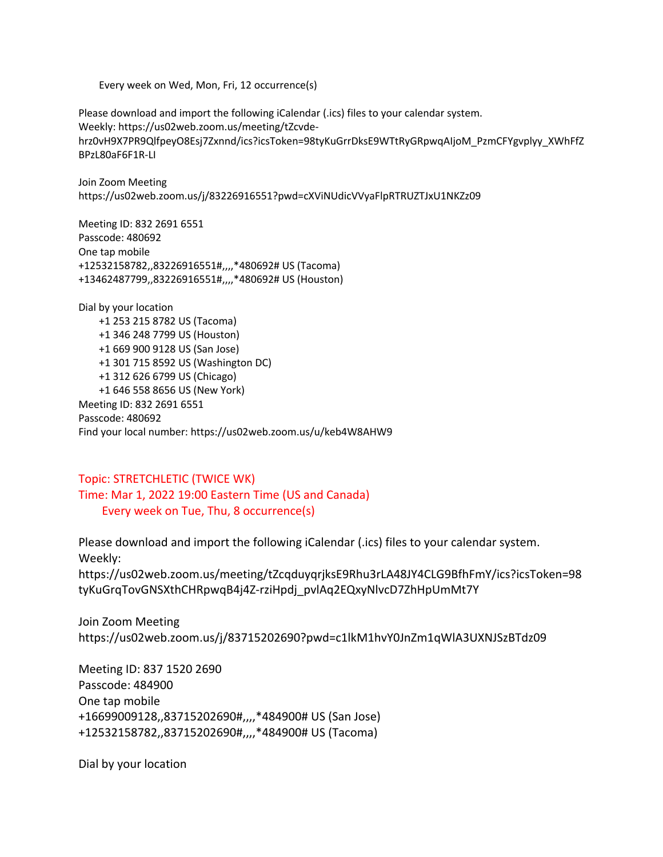Every week on Wed, Mon, Fri, 12 occurrence(s)

Please download and import the following iCalendar (.ics) files to your calendar system. Weekly: https://us02web.zoom.us/meeting/tZcvdehrz0vH9X7PR9QlfpeyO8Esj7Zxnnd/ics?icsToken=98tyKuGrrDksE9WTtRyGRpwqAIjoM\_PzmCFYgvplyy\_XWhFfZ BPzL80aF6F1R-LI

Join Zoom Meeting https://us02web.zoom.us/j/83226916551?pwd=cXViNUdicVVyaFlpRTRUZTJxU1NKZz09

Meeting ID: 832 2691 6551 Passcode: 480692 One tap mobile +12532158782,,83226916551#,,,,\*480692# US (Tacoma) +13462487799,,83226916551#,,,,\*480692# US (Houston)

Dial by your location +1 253 215 8782 US (Tacoma) +1 346 248 7799 US (Houston) +1 669 900 9128 US (San Jose) +1 301 715 8592 US (Washington DC) +1 312 626 6799 US (Chicago) +1 646 558 8656 US (New York) Meeting ID: 832 2691 6551 Passcode: 480692 Find your local number: https://us02web.zoom.us/u/keb4W8AHW9

#### Topic: STRETCHLETIC (TWICE WK) Time: Mar 1, 2022 19:00 Eastern Time (US and Canada) Every week on Tue, Thu, 8 occurrence(s)

Please download and import the following iCalendar (.ics) files to your calendar system. Weekly:

https://us02web.zoom.us/meeting/tZcqduyqrjksE9Rhu3rLA48JY4CLG9BfhFmY/ics?icsToken=98 tyKuGrqTovGNSXthCHRpwqB4j4Z-rziHpdj\_pvlAq2EQxyNlvcD7ZhHpUmMt7Y

Join Zoom Meeting https://us02web.zoom.us/j/83715202690?pwd=c1lkM1hvY0JnZm1qWlA3UXNJSzBTdz09

Meeting ID: 837 1520 2690 Passcode: 484900 One tap mobile +16699009128,,83715202690#,,,,\*484900# US (San Jose) +12532158782,,83715202690#,,,,\*484900# US (Tacoma)

Dial by your location